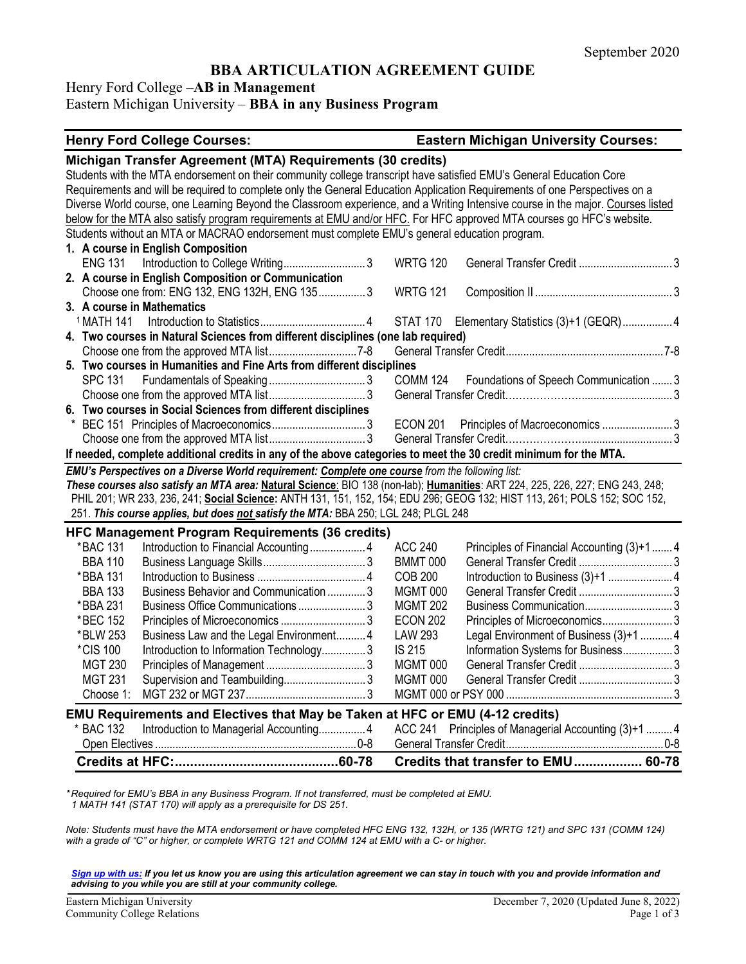# **BBA ARTICULATION AGREEMENT GUIDE**

Henry Ford College –**AB in Management**

## Eastern Michigan University – **BBA in any Business Program**

#### **Henry Ford College Courses: Eastern Michigan University Courses:**

|                       | Michigan Transfer Agreement (MTA) Requirements (30 credits)                                                         |                 |                                                                                                                                 |  |
|-----------------------|---------------------------------------------------------------------------------------------------------------------|-----------------|---------------------------------------------------------------------------------------------------------------------------------|--|
|                       | Students with the MTA endorsement on their community college transcript have satisfied EMU's General Education Core |                 |                                                                                                                                 |  |
|                       |                                                                                                                     |                 | Requirements and will be required to complete only the General Education Application Requirements of one Perspectives on a      |  |
|                       |                                                                                                                     |                 | Diverse World course, one Learning Beyond the Classroom experience, and a Writing Intensive course in the major. Courses listed |  |
|                       |                                                                                                                     |                 | below for the MTA also satisfy program requirements at EMU and/or HFC. For HFC approved MTA courses go HFC's website.           |  |
|                       | Students without an MTA or MACRAO endorsement must complete EMU's general education program.                        |                 |                                                                                                                                 |  |
|                       | 1. A course in English Composition                                                                                  |                 |                                                                                                                                 |  |
| <b>ENG 131</b>        | Introduction to College Writing3                                                                                    | <b>WRTG 120</b> |                                                                                                                                 |  |
|                       | 2. A course in English Composition or Communication                                                                 |                 |                                                                                                                                 |  |
|                       | Choose one from: ENG 132, ENG 132H, ENG 135 3                                                                       | <b>WRTG 121</b> |                                                                                                                                 |  |
|                       | 3. A course in Mathematics                                                                                          |                 |                                                                                                                                 |  |
| <sup>1</sup> MATH 141 |                                                                                                                     |                 | STAT 170 Elementary Statistics (3)+1 (GEQR)  4                                                                                  |  |
|                       | 4. Two courses in Natural Sciences from different disciplines (one lab required)                                    |                 |                                                                                                                                 |  |
|                       |                                                                                                                     |                 |                                                                                                                                 |  |
|                       | 5. Two courses in Humanities and Fine Arts from different disciplines                                               |                 |                                                                                                                                 |  |
| <b>SPC 131</b>        |                                                                                                                     |                 | COMM 124 Foundations of Speech Communication  3                                                                                 |  |
|                       |                                                                                                                     |                 |                                                                                                                                 |  |
|                       | 6. Two courses in Social Sciences from different disciplines                                                        |                 |                                                                                                                                 |  |
|                       |                                                                                                                     | ECON 201        |                                                                                                                                 |  |
|                       |                                                                                                                     |                 |                                                                                                                                 |  |
|                       | If needed, complete additional credits in any of the above categories to meet the 30 credit minimum for the MTA.    |                 |                                                                                                                                 |  |
|                       | EMU's Perspectives on a Diverse World requirement: Complete one course from the following list:                     |                 |                                                                                                                                 |  |
|                       |                                                                                                                     |                 | These courses also satisfy an MTA area: Natural Science: BIO 138 (non-lab); Humanities: ART 224, 225, 226, 227; ENG 243, 248;   |  |
|                       |                                                                                                                     |                 | PHIL 201; WR 233, 236, 241; Social Science: ANTH 131, 151, 152, 154; EDU 296; GEOG 132; HIST 113, 261; POLS 152; SOC 152,       |  |
|                       | 251. This course applies, but does not satisfy the MTA: BBA 250; LGL 248; PLGL 248                                  |                 |                                                                                                                                 |  |
|                       | <b>HFC Management Program Requirements (36 credits)</b>                                                             |                 |                                                                                                                                 |  |
| *BAC 131              |                                                                                                                     | <b>ACC 240</b>  | Principles of Financial Accounting (3)+1  4                                                                                     |  |
| <b>BBA 110</b>        |                                                                                                                     | <b>BMMT 000</b> |                                                                                                                                 |  |
| *BBA 131              |                                                                                                                     | <b>COB 200</b>  |                                                                                                                                 |  |
| <b>BBA 133</b>        | Business Behavior and Communication  3                                                                              | <b>MGMT 000</b> |                                                                                                                                 |  |
| *BBA 231              | Business Office Communications 3                                                                                    | <b>MGMT 202</b> | Business Communication3                                                                                                         |  |
| *BEC 152              |                                                                                                                     | <b>ECON 202</b> | Principles of Microeconomics3                                                                                                   |  |
| *BLW 253              | Business Law and the Legal Environment4                                                                             | <b>LAW 293</b>  | Legal Environment of Business (3)+1  4                                                                                          |  |
| *CIS 100              | Introduction to Information Technology3                                                                             | IS 215          | Information Systems for Business 3                                                                                              |  |
| <b>MGT 230</b>        |                                                                                                                     | MGMT 000        |                                                                                                                                 |  |
| <b>MGT 231</b>        | Supervision and Teambuilding3                                                                                       | MGMT 000        |                                                                                                                                 |  |
|                       |                                                                                                                     |                 |                                                                                                                                 |  |
| Choose 1:             |                                                                                                                     |                 |                                                                                                                                 |  |
|                       |                                                                                                                     |                 |                                                                                                                                 |  |
|                       | EMU Requirements and Electives that May be Taken at HFC or EMU (4-12 credits)                                       | <b>ACC 241</b>  |                                                                                                                                 |  |
| * BAC 132             | Introduction to Managerial Accounting 4                                                                             |                 | Principles of Managerial Accounting (3)+1  4                                                                                    |  |

*\* Required for EMU's BBA in any Business Program. If not transferred, must be completed at EMU. 1 MATH 141 (STAT 170) will apply as a prerequisite for DS 251.*

*Note: Students must have the MTA endorsement or have completed HFC ENG 132, 132H, or 135 (WRTG 121) and SPC 131 (COMM 124) with a grade of "C" or higher, or complete WRTG 121 and COMM 124 at EMU with a C- or higher.*

*[Sign up with us:](https://www.emich.edu/ccr/articulation-agreements/signup.php) If you let us know you are using this articulation agreement we can stay in touch with you and provide information and advising to you while you are still at your community college.*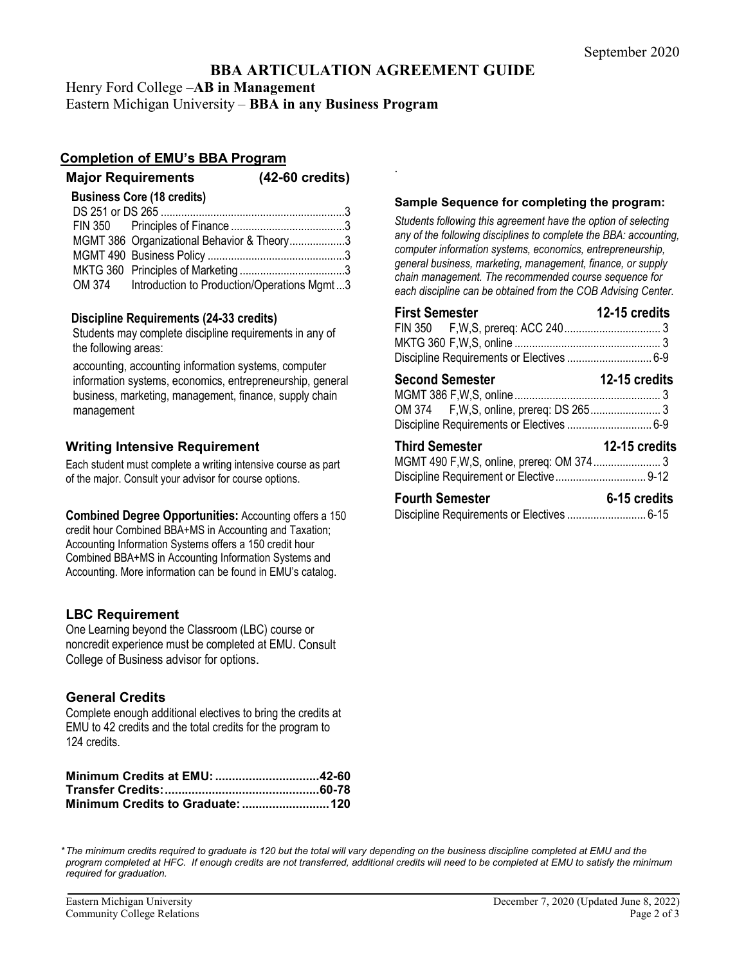# **BBA ARTICULATION AGREEMENT GUIDE**

.

Henry Ford College –**AB in Management**

Eastern Michigan University – **BBA in any Business Program**

## **Completion of EMU's BBA Program**

#### **Major Requirements (42-60 credits)**

| $(42-60 \text{ credits})$ |  |  |
|---------------------------|--|--|
|---------------------------|--|--|

**Business Core (18 credits)**

| MGMT 386 Organizational Behavior & Theory3         |
|----------------------------------------------------|
|                                                    |
|                                                    |
| OM 374 Introduction to Production/Operations Mgmt3 |

## **Discipline Requirements (24-33 credits)**

Students may complete discipline requirements in any of the following areas:

accounting, accounting information systems, computer information systems, economics, entrepreneurship, general business, marketing, management, finance, supply chain management

## **Writing Intensive Requirement**

Each student must complete a writing intensive course as part of the major. Consult your advisor for course options.

**Combined Degree Opportunities:** Accounting offers a 150 credit hour Combined BBA+MS in Accounting and Taxation; Accounting Information Systems offers a 150 credit hour Combined BBA+MS in Accounting Information Systems and Accounting. More information can be found in EMU's catalog.

## **LBC Requirement**

One Learning beyond the Classroom (LBC) course or noncredit experience must be completed at EMU. Consult College of Business advisor for options.

## **General Credits**

Complete enough additional electives to bring the credits at EMU to 42 credits and the total credits for the program to 124 credits.

#### **Sample Sequence for completing the program:**

*Students following this agreement have the option of selecting any of the following disciplines to complete the BBA: accounting, computer information systems, economics, entrepreneurship, general business, marketing, management, finance, or supply chain management. The recommended course sequence for each discipline can be obtained from the COB Advising Center.* 

| <b>First Semester</b>                     | 12-15 credits |
|-------------------------------------------|---------------|
|                                           |               |
|                                           |               |
|                                           |               |
| <b>Second Semester</b>                    | 12-15 credits |
|                                           |               |
| Discipline Requirements or Electives  6-9 |               |
| <b>Third Semester</b>                     | 12-15 credits |
|                                           |               |
|                                           |               |
| <b>Fourth Semester</b>                    | 6-15 credits  |
|                                           |               |

*\*The minimum credits required to graduate is 120 but the total will vary depending on the business discipline completed at EMU and the*  program completed at HFC. If enough credits are not transferred, additional credits will need to be completed at EMU to satisfy the minimum *required for graduation.*